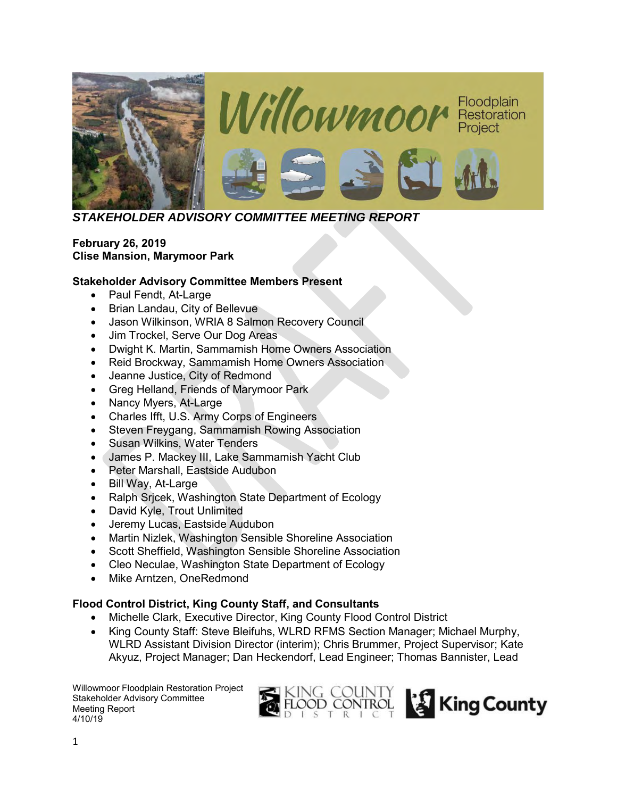

*STAKEHOLDER ADVISORY COMMITTEE MEETING REPORT*

### **February 26, 2019 Clise Mansion, Marymoor Park**

#### **Stakeholder Advisory Committee Members Present**

- Paul Fendt, At-Large
- Brian Landau, City of Bellevue
- Jason Wilkinson, WRIA 8 Salmon Recovery Council
- Jim Trockel, Serve Our Dog Areas
- Dwight K. Martin, Sammamish Home Owners Association
- Reid Brockway, Sammamish Home Owners Association
- Jeanne Justice, City of Redmond
- Greg Helland, Friends of Marymoor Park
- Nancy Myers, At-Large
- Charles Ifft, U.S. Army Corps of Engineers
- Steven Freygang, Sammamish Rowing Association
- Susan Wilkins, Water Tenders
- James P. Mackey III, Lake Sammamish Yacht Club
- Peter Marshall, Eastside Audubon
- Bill Way, At-Large
- Ralph Srjcek, Washington State Department of Ecology
- David Kyle, Trout Unlimited
- Jeremy Lucas, Eastside Audubon
- Martin Nizlek, Washington Sensible Shoreline Association
- Scott Sheffield, Washington Sensible Shoreline Association
- Cleo Neculae, Washington State Department of Ecology
- Mike Arntzen, OneRedmond

## **Flood Control District, King County Staff, and Consultants**

- Michelle Clark, Executive Director, King County Flood Control District
- King County Staff: Steve Bleifuhs, WLRD RFMS Section Manager; Michael Murphy, WLRD Assistant Division Director (interim); Chris Brummer, Project Supervisor; Kate Akyuz, Project Manager; Dan Heckendorf, Lead Engineer; Thomas Bannister, Lead

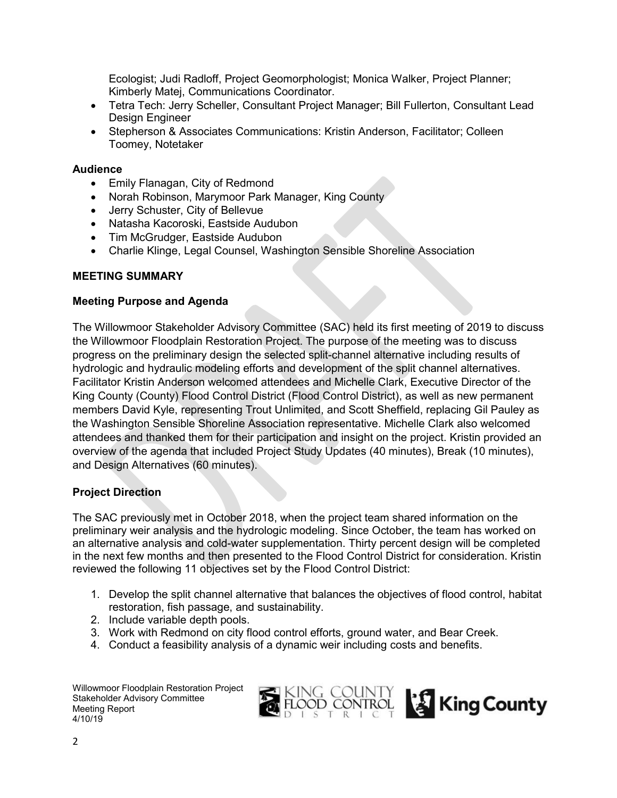Ecologist; Judi Radloff, Project Geomorphologist; Monica Walker, Project Planner; Kimberly Matej, Communications Coordinator.

- Tetra Tech: Jerry Scheller, Consultant Project Manager; Bill Fullerton, Consultant Lead Design Engineer
- Stepherson & Associates Communications: Kristin Anderson, Facilitator; Colleen Toomey, Notetaker

#### **Audience**

- Emily Flanagan, City of Redmond
- Norah Robinson, Marymoor Park Manager, King County
- Jerry Schuster, City of Bellevue
- Natasha Kacoroski, Eastside Audubon
- Tim McGrudger, Eastside Audubon
- Charlie Klinge, Legal Counsel, Washington Sensible Shoreline Association

#### **MEETING SUMMARY**

#### **Meeting Purpose and Agenda**

The Willowmoor Stakeholder Advisory Committee (SAC) held its first meeting of 2019 to discuss the Willowmoor Floodplain Restoration Project. The purpose of the meeting was to discuss progress on the preliminary design the selected split-channel alternative including results of hydrologic and hydraulic modeling efforts and development of the split channel alternatives. Facilitator Kristin Anderson welcomed attendees and Michelle Clark, Executive Director of the King County (County) Flood Control District (Flood Control District), as well as new permanent members David Kyle, representing Trout Unlimited, and Scott Sheffield, replacing Gil Pauley as the Washington Sensible Shoreline Association representative. Michelle Clark also welcomed attendees and thanked them for their participation and insight on the project. Kristin provided an overview of the agenda that included Project Study Updates (40 minutes), Break (10 minutes), and Design Alternatives (60 minutes).

#### **Project Direction**

The SAC previously met in October 2018, when the project team shared information on the preliminary weir analysis and the hydrologic modeling. Since October, the team has worked on an alternative analysis and cold-water supplementation. Thirty percent design will be completed in the next few months and then presented to the Flood Control District for consideration. Kristin reviewed the following 11 objectives set by the Flood Control District:

- 1. Develop the split channel alternative that balances the objectives of flood control, habitat restoration, fish passage, and sustainability.
- 2. Include variable depth pools.
- 3. Work with Redmond on city flood control efforts, ground water, and Bear Creek.
- 4. Conduct a feasibility analysis of a dynamic weir including costs and benefits.

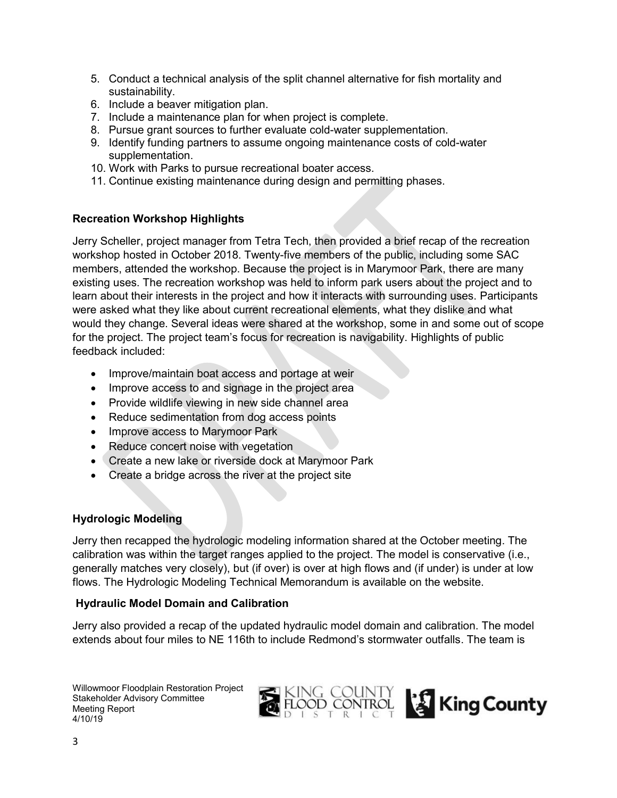- 5. Conduct a technical analysis of the split channel alternative for fish mortality and sustainability.
- 6. Include a beaver mitigation plan.
- 7. Include a maintenance plan for when project is complete.
- 8. Pursue grant sources to further evaluate cold-water supplementation.
- 9. Identify funding partners to assume ongoing maintenance costs of cold-water supplementation.
- 10. Work with Parks to pursue recreational boater access.
- 11. Continue existing maintenance during design and permitting phases.

### **Recreation Workshop Highlights**

Jerry Scheller, project manager from Tetra Tech, then provided a brief recap of the recreation workshop hosted in October 2018. Twenty-five members of the public, including some SAC members, attended the workshop. Because the project is in Marymoor Park, there are many existing uses. The recreation workshop was held to inform park users about the project and to learn about their interests in the project and how it interacts with surrounding uses. Participants were asked what they like about current recreational elements, what they dislike and what would they change. Several ideas were shared at the workshop, some in and some out of scope for the project. The project team's focus for recreation is navigability. Highlights of public feedback included:

- Improve/maintain boat access and portage at weir
- Improve access to and signage in the project area
- Provide wildlife viewing in new side channel area
- Reduce sedimentation from dog access points
- Improve access to Marymoor Park
- Reduce concert noise with vegetation
- Create a new lake or riverside dock at Marymoor Park
- Create a bridge across the river at the project site

#### **Hydrologic Modeling**

Jerry then recapped the hydrologic modeling information shared at the October meeting. The calibration was within the target ranges applied to the project. The model is conservative (i.e., generally matches very closely), but (if over) is over at high flows and (if under) is under at low flows. The Hydrologic Modeling Technical Memorandum is available on the website.

#### **Hydraulic Model Domain and Calibration**

Jerry also provided a recap of the updated hydraulic model domain and calibration. The model extends about four miles to NE 116th to include Redmond's stormwater outfalls. The team is

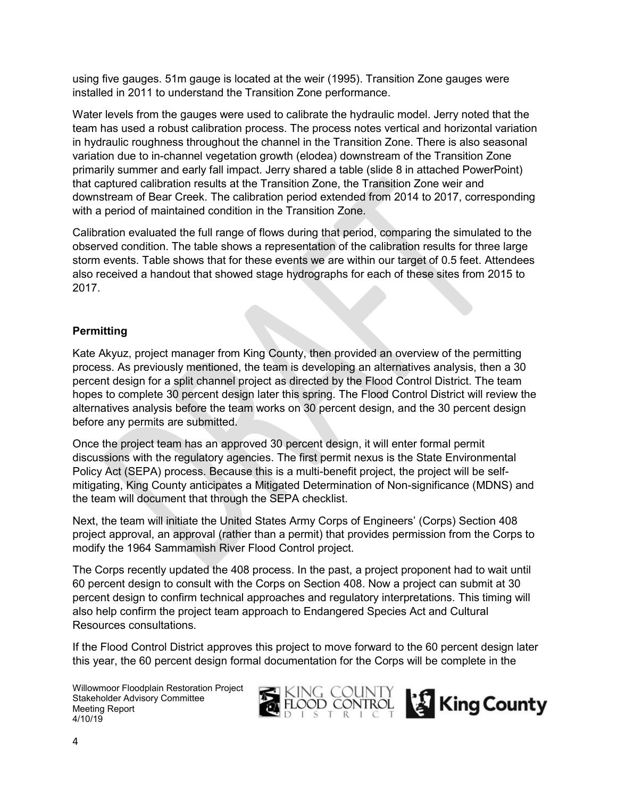using five gauges. 51m gauge is located at the weir (1995). Transition Zone gauges were installed in 2011 to understand the Transition Zone performance.

Water levels from the gauges were used to calibrate the hydraulic model. Jerry noted that the team has used a robust calibration process. The process notes vertical and horizontal variation in hydraulic roughness throughout the channel in the Transition Zone. There is also seasonal variation due to in-channel vegetation growth (elodea) downstream of the Transition Zone primarily summer and early fall impact. Jerry shared a table (slide 8 in attached PowerPoint) that captured calibration results at the Transition Zone, the Transition Zone weir and downstream of Bear Creek. The calibration period extended from 2014 to 2017, corresponding with a period of maintained condition in the Transition Zone.

Calibration evaluated the full range of flows during that period, comparing the simulated to the observed condition. The table shows a representation of the calibration results for three large storm events. Table shows that for these events we are within our target of 0.5 feet. Attendees also received a handout that showed stage hydrographs for each of these sites from 2015 to 2017.

### **Permitting**

Kate Akyuz, project manager from King County, then provided an overview of the permitting process. As previously mentioned, the team is developing an alternatives analysis, then a 30 percent design for a split channel project as directed by the Flood Control District. The team hopes to complete 30 percent design later this spring. The Flood Control District will review the alternatives analysis before the team works on 30 percent design, and the 30 percent design before any permits are submitted.

Once the project team has an approved 30 percent design, it will enter formal permit discussions with the regulatory agencies. The first permit nexus is the State Environmental Policy Act (SEPA) process. Because this is a multi-benefit project, the project will be selfmitigating, King County anticipates a Mitigated Determination of Non-significance (MDNS) and the team will document that through the SEPA checklist.

Next, the team will initiate the United States Army Corps of Engineers' (Corps) Section 408 project approval, an approval (rather than a permit) that provides permission from the Corps to modify the 1964 Sammamish River Flood Control project.

The Corps recently updated the 408 process. In the past, a project proponent had to wait until 60 percent design to consult with the Corps on Section 408. Now a project can submit at 30 percent design to confirm technical approaches and regulatory interpretations. This timing will also help confirm the project team approach to Endangered Species Act and Cultural Resources consultations.

If the Flood Control District approves this project to move forward to the 60 percent design later this year, the 60 percent design formal documentation for the Corps will be complete in the



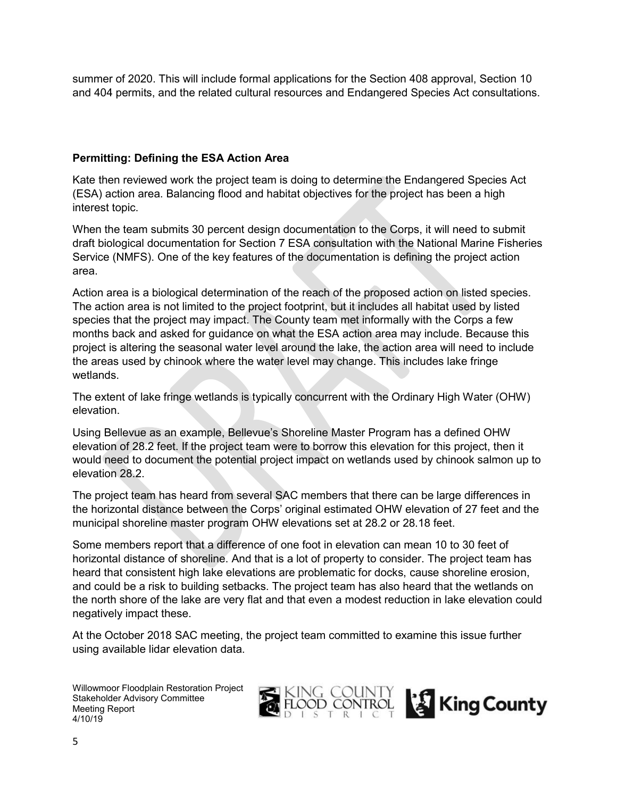summer of 2020. This will include formal applications for the Section 408 approval, Section 10 and 404 permits, and the related cultural resources and Endangered Species Act consultations.

## **Permitting: Defining the ESA Action Area**

Kate then reviewed work the project team is doing to determine the Endangered Species Act (ESA) action area. Balancing flood and habitat objectives for the project has been a high interest topic.

When the team submits 30 percent design documentation to the Corps, it will need to submit draft biological documentation for Section 7 ESA consultation with the National Marine Fisheries Service (NMFS). One of the key features of the documentation is defining the project action area.

Action area is a biological determination of the reach of the proposed action on listed species. The action area is not limited to the project footprint, but it includes all habitat used by listed species that the project may impact. The County team met informally with the Corps a few months back and asked for guidance on what the ESA action area may include. Because this project is altering the seasonal water level around the lake, the action area will need to include the areas used by chinook where the water level may change. This includes lake fringe wetlands.

The extent of lake fringe wetlands is typically concurrent with the Ordinary High Water (OHW) elevation.

Using Bellevue as an example, Bellevue's Shoreline Master Program has a defined OHW elevation of 28.2 feet. If the project team were to borrow this elevation for this project, then it would need to document the potential project impact on wetlands used by chinook salmon up to elevation 28.2.

The project team has heard from several SAC members that there can be large differences in the horizontal distance between the Corps' original estimated OHW elevation of 27 feet and the municipal shoreline master program OHW elevations set at 28.2 or 28.18 feet.

Some members report that a difference of one foot in elevation can mean 10 to 30 feet of horizontal distance of shoreline. And that is a lot of property to consider. The project team has heard that consistent high lake elevations are problematic for docks, cause shoreline erosion, and could be a risk to building setbacks. The project team has also heard that the wetlands on the north shore of the lake are very flat and that even a modest reduction in lake elevation could negatively impact these.

At the October 2018 SAC meeting, the project team committed to examine this issue further using available lidar elevation data.

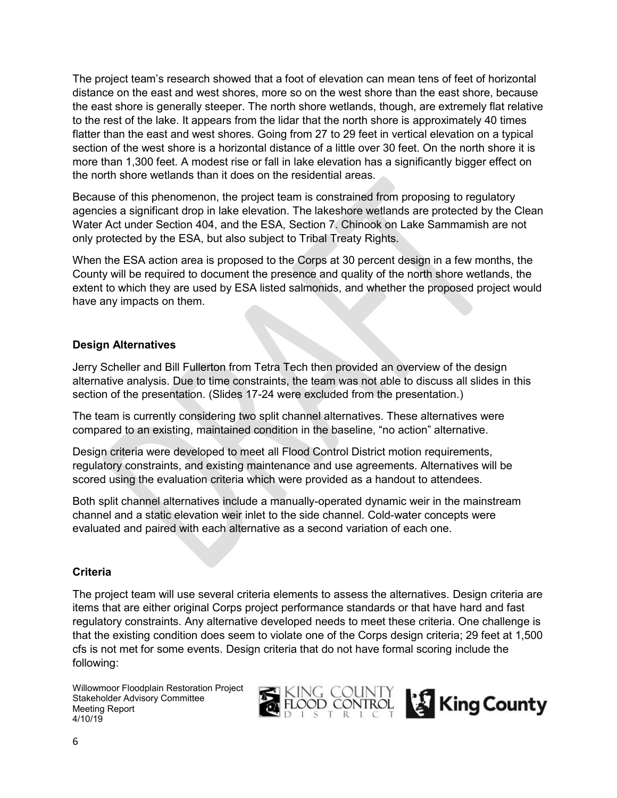The project team's research showed that a foot of elevation can mean tens of feet of horizontal distance on the east and west shores, more so on the west shore than the east shore, because the east shore is generally steeper. The north shore wetlands, though, are extremely flat relative to the rest of the lake. It appears from the lidar that the north shore is approximately 40 times flatter than the east and west shores. Going from 27 to 29 feet in vertical elevation on a typical section of the west shore is a horizontal distance of a little over 30 feet. On the north shore it is more than 1,300 feet. A modest rise or fall in lake elevation has a significantly bigger effect on the north shore wetlands than it does on the residential areas.

Because of this phenomenon, the project team is constrained from proposing to regulatory agencies a significant drop in lake elevation. The lakeshore wetlands are protected by the Clean Water Act under Section 404, and the ESA, Section 7. Chinook on Lake Sammamish are not only protected by the ESA, but also subject to Tribal Treaty Rights.

When the ESA action area is proposed to the Corps at 30 percent design in a few months, the County will be required to document the presence and quality of the north shore wetlands, the extent to which they are used by ESA listed salmonids, and whether the proposed project would have any impacts on them.

### **Design Alternatives**

Jerry Scheller and Bill Fullerton from Tetra Tech then provided an overview of the design alternative analysis. Due to time constraints, the team was not able to discuss all slides in this section of the presentation. (Slides 17-24 were excluded from the presentation.)

The team is currently considering two split channel alternatives. These alternatives were compared to an existing, maintained condition in the baseline, "no action" alternative.

Design criteria were developed to meet all Flood Control District motion requirements, regulatory constraints, and existing maintenance and use agreements. Alternatives will be scored using the evaluation criteria which were provided as a handout to attendees.

Both split channel alternatives include a manually-operated dynamic weir in the mainstream channel and a static elevation weir inlet to the side channel. Cold-water concepts were evaluated and paired with each alternative as a second variation of each one.

#### **Criteria**

The project team will use several criteria elements to assess the alternatives. Design criteria are items that are either original Corps project performance standards or that have hard and fast regulatory constraints. Any alternative developed needs to meet these criteria. One challenge is that the existing condition does seem to violate one of the Corps design criteria; 29 feet at 1,500 cfs is not met for some events. Design criteria that do not have formal scoring include the following:

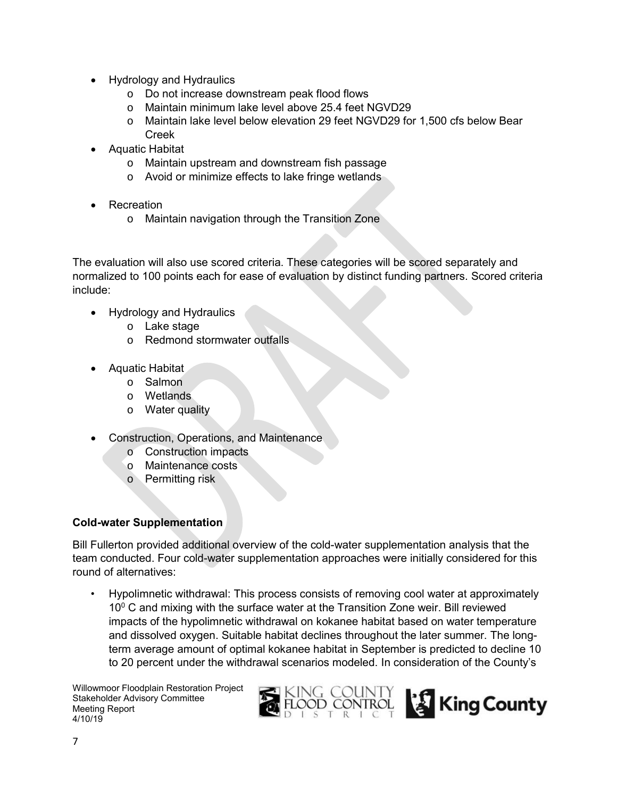- Hydrology and Hydraulics
	- o Do not increase downstream peak flood flows
	- o Maintain minimum lake level above 25.4 feet NGVD29
	- o Maintain lake level below elevation 29 feet NGVD29 for 1,500 cfs below Bear Creek
- Aquatic Habitat
	- o Maintain upstream and downstream fish passage
	- o Avoid or minimize effects to lake fringe wetlands
- Recreation
	- o Maintain navigation through the Transition Zone

The evaluation will also use scored criteria. These categories will be scored separately and normalized to 100 points each for ease of evaluation by distinct funding partners. Scored criteria include:

- Hydrology and Hydraulics
	- o Lake stage
	- o Redmond stormwater outfalls
- Aquatic Habitat
	- o Salmon
	- o Wetlands
	- o Water quality
- Construction, Operations, and Maintenance
	- o Construction impacts
	- o Maintenance costs
	- o Permitting risk

## **Cold-water Supplementation**

Bill Fullerton provided additional overview of the cold-water supplementation analysis that the team conducted. Four cold-water supplementation approaches were initially considered for this round of alternatives:

• Hypolimnetic withdrawal: This process consists of removing cool water at approximately  $10^{\circ}$  C and mixing with the surface water at the Transition Zone weir. Bill reviewed impacts of the hypolimnetic withdrawal on kokanee habitat based on water temperature and dissolved oxygen. Suitable habitat declines throughout the later summer. The longterm average amount of optimal kokanee habitat in September is predicted to decline 10 to 20 percent under the withdrawal scenarios modeled. In consideration of the County's



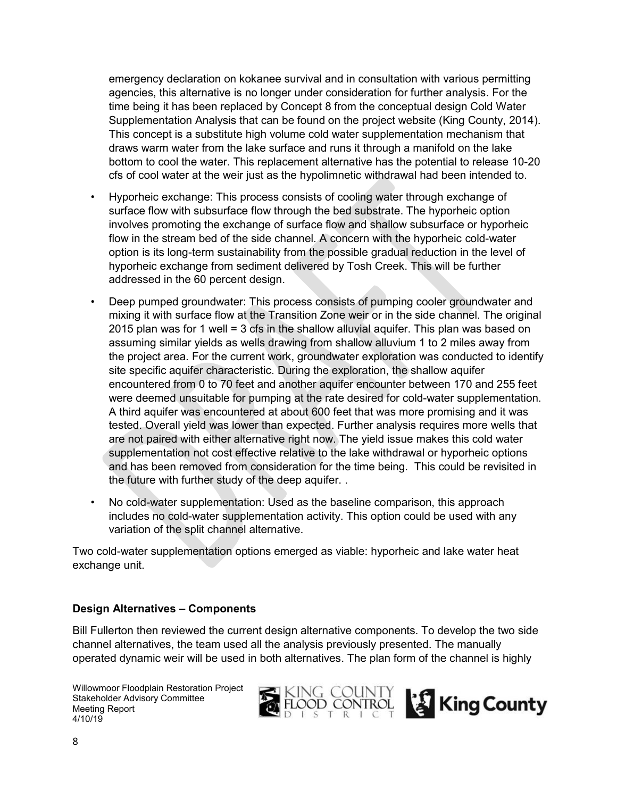emergency declaration on kokanee survival and in consultation with various permitting agencies, this alternative is no longer under consideration for further analysis. For the time being it has been replaced by Concept 8 from the conceptual design Cold Water Supplementation Analysis that can be found on the project website (King County, 2014). This concept is a substitute high volume cold water supplementation mechanism that draws warm water from the lake surface and runs it through a manifold on the lake bottom to cool the water. This replacement alternative has the potential to release 10-20 cfs of cool water at the weir just as the hypolimnetic withdrawal had been intended to.

- Hyporheic exchange: This process consists of cooling water through exchange of surface flow with subsurface flow through the bed substrate. The hyporheic option involves promoting the exchange of surface flow and shallow subsurface or hyporheic flow in the stream bed of the side channel. A concern with the hyporheic cold-water option is its long-term sustainability from the possible gradual reduction in the level of hyporheic exchange from sediment delivered by Tosh Creek. This will be further addressed in the 60 percent design.
- Deep pumped groundwater: This process consists of pumping cooler groundwater and mixing it with surface flow at the Transition Zone weir or in the side channel. The original 2015 plan was for 1 well = 3 cfs in the shallow alluvial aquifer. This plan was based on assuming similar yields as wells drawing from shallow alluvium 1 to 2 miles away from the project area. For the current work, groundwater exploration was conducted to identify site specific aquifer characteristic. During the exploration, the shallow aquifer encountered from 0 to 70 feet and another aquifer encounter between 170 and 255 feet were deemed unsuitable for pumping at the rate desired for cold-water supplementation. A third aquifer was encountered at about 600 feet that was more promising and it was tested. Overall yield was lower than expected. Further analysis requires more wells that are not paired with either alternative right now. The yield issue makes this cold water supplementation not cost effective relative to the lake withdrawal or hyporheic options and has been removed from consideration for the time being. This could be revisited in the future with further study of the deep aquifer. .
- No cold-water supplementation: Used as the baseline comparison, this approach includes no cold-water supplementation activity. This option could be used with any variation of the split channel alternative.

Two cold-water supplementation options emerged as viable: hyporheic and lake water heat exchange unit.

#### **Design Alternatives – Components**

Bill Fullerton then reviewed the current design alternative components. To develop the two side channel alternatives, the team used all the analysis previously presented. The manually operated dynamic weir will be used in both alternatives. The plan form of the channel is highly

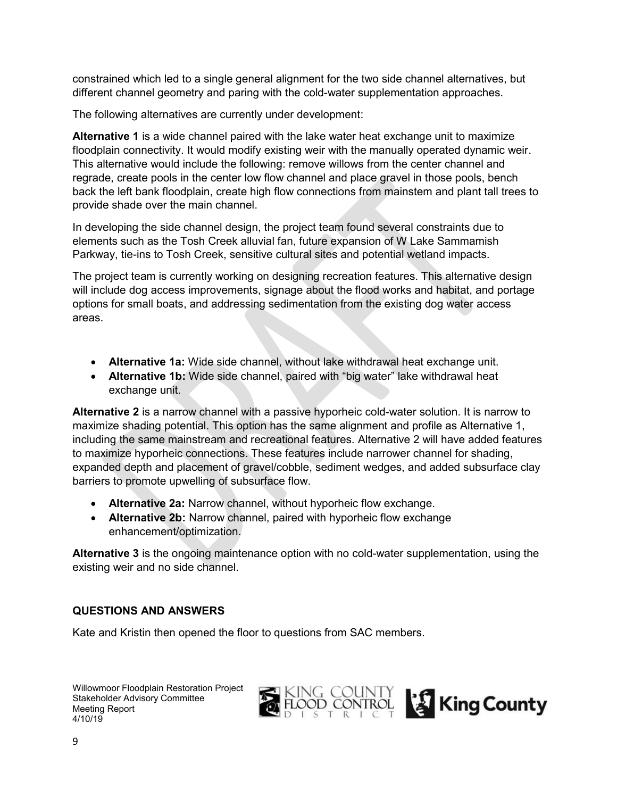constrained which led to a single general alignment for the two side channel alternatives, but different channel geometry and paring with the cold-water supplementation approaches.

The following alternatives are currently under development:

**Alternative 1** is a wide channel paired with the lake water heat exchange unit to maximize floodplain connectivity. It would modify existing weir with the manually operated dynamic weir. This alternative would include the following: remove willows from the center channel and regrade, create pools in the center low flow channel and place gravel in those pools, bench back the left bank floodplain, create high flow connections from mainstem and plant tall trees to provide shade over the main channel.

In developing the side channel design, the project team found several constraints due to elements such as the Tosh Creek alluvial fan, future expansion of W Lake Sammamish Parkway, tie-ins to Tosh Creek, sensitive cultural sites and potential wetland impacts.

The project team is currently working on designing recreation features. This alternative design will include dog access improvements, signage about the flood works and habitat, and portage options for small boats, and addressing sedimentation from the existing dog water access areas.

- **Alternative 1a:** Wide side channel, without lake withdrawal heat exchange unit.
- **Alternative 1b:** Wide side channel, paired with "big water" lake withdrawal heat exchange unit.

**Alternative 2** is a narrow channel with a passive hyporheic cold-water solution. It is narrow to maximize shading potential. This option has the same alignment and profile as Alternative 1, including the same mainstream and recreational features. Alternative 2 will have added features to maximize hyporheic connections. These features include narrower channel for shading, expanded depth and placement of gravel/cobble, sediment wedges, and added subsurface clay barriers to promote upwelling of subsurface flow.

- **Alternative 2a:** Narrow channel, without hyporheic flow exchange.
- **Alternative 2b:** Narrow channel, paired with hyporheic flow exchange enhancement/optimization.

**Alternative 3** is the ongoing maintenance option with no cold-water supplementation, using the existing weir and no side channel.

#### **QUESTIONS AND ANSWERS**

Kate and Kristin then opened the floor to questions from SAC members.

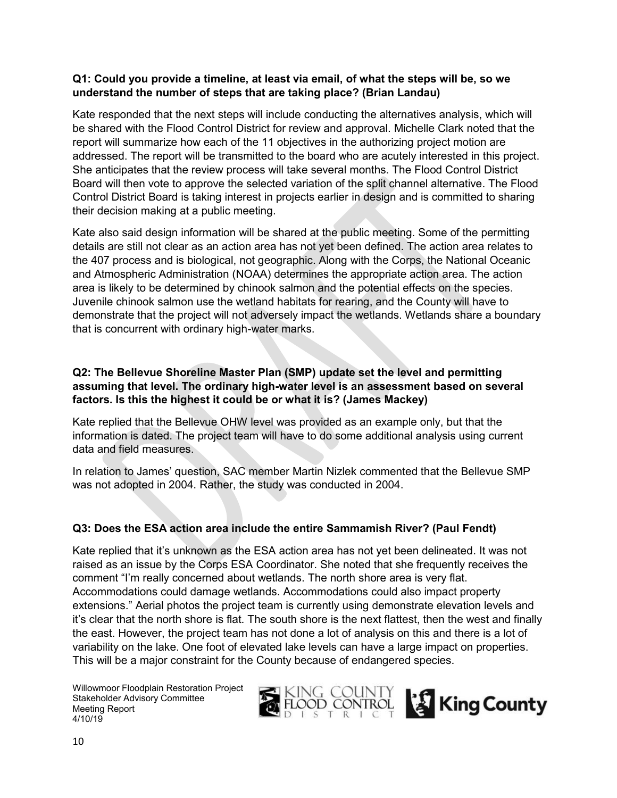#### **Q1: Could you provide a timeline, at least via email, of what the steps will be, so we understand the number of steps that are taking place? (Brian Landau)**

Kate responded that the next steps will include conducting the alternatives analysis, which will be shared with the Flood Control District for review and approval. Michelle Clark noted that the report will summarize how each of the 11 objectives in the authorizing project motion are addressed. The report will be transmitted to the board who are acutely interested in this project. She anticipates that the review process will take several months. The Flood Control District Board will then vote to approve the selected variation of the split channel alternative. The Flood Control District Board is taking interest in projects earlier in design and is committed to sharing their decision making at a public meeting.

Kate also said design information will be shared at the public meeting. Some of the permitting details are still not clear as an action area has not yet been defined. The action area relates to the 407 process and is biological, not geographic. Along with the Corps, the National Oceanic and Atmospheric Administration (NOAA) determines the appropriate action area. The action area is likely to be determined by chinook salmon and the potential effects on the species. Juvenile chinook salmon use the wetland habitats for rearing, and the County will have to demonstrate that the project will not adversely impact the wetlands. Wetlands share a boundary that is concurrent with ordinary high-water marks.

## **Q2: The Bellevue Shoreline Master Plan (SMP) update set the level and permitting assuming that level. The ordinary high-water level is an assessment based on several factors. Is this the highest it could be or what it is? (James Mackey)**

Kate replied that the Bellevue OHW level was provided as an example only, but that the information is dated. The project team will have to do some additional analysis using current data and field measures.

In relation to James' question, SAC member Martin Nizlek commented that the Bellevue SMP was not adopted in 2004. Rather, the study was conducted in 2004.

# **Q3: Does the ESA action area include the entire Sammamish River? (Paul Fendt)**

Kate replied that it's unknown as the ESA action area has not yet been delineated. It was not raised as an issue by the Corps ESA Coordinator. She noted that she frequently receives the comment "I'm really concerned about wetlands. The north shore area is very flat. Accommodations could damage wetlands. Accommodations could also impact property extensions." Aerial photos the project team is currently using demonstrate elevation levels and it's clear that the north shore is flat. The south shore is the next flattest, then the west and finally the east. However, the project team has not done a lot of analysis on this and there is a lot of variability on the lake. One foot of elevated lake levels can have a large impact on properties. This will be a major constraint for the County because of endangered species.

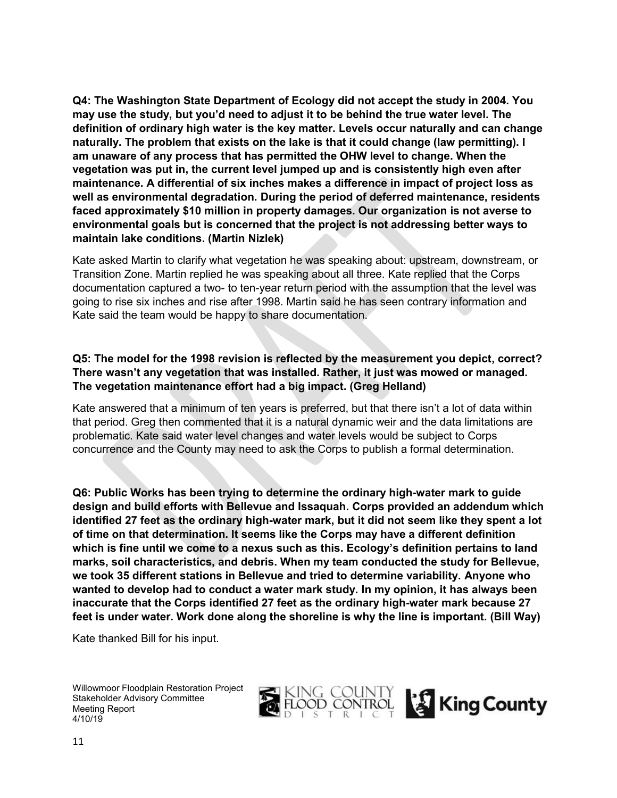**Q4: The Washington State Department of Ecology did not accept the study in 2004. You may use the study, but you'd need to adjust it to be behind the true water level. The definition of ordinary high water is the key matter. Levels occur naturally and can change naturally. The problem that exists on the lake is that it could change (law permitting). I am unaware of any process that has permitted the OHW level to change. When the vegetation was put in, the current level jumped up and is consistently high even after maintenance. A differential of six inches makes a difference in impact of project loss as well as environmental degradation. During the period of deferred maintenance, residents faced approximately \$10 million in property damages. Our organization is not averse to environmental goals but is concerned that the project is not addressing better ways to maintain lake conditions. (Martin Nizlek)**

Kate asked Martin to clarify what vegetation he was speaking about: upstream, downstream, or Transition Zone. Martin replied he was speaking about all three. Kate replied that the Corps documentation captured a two- to ten-year return period with the assumption that the level was going to rise six inches and rise after 1998. Martin said he has seen contrary information and Kate said the team would be happy to share documentation.

### **Q5: The model for the 1998 revision is reflected by the measurement you depict, correct? There wasn't any vegetation that was installed. Rather, it just was mowed or managed. The vegetation maintenance effort had a big impact. (Greg Helland)**

Kate answered that a minimum of ten years is preferred, but that there isn't a lot of data within that period. Greg then commented that it is a natural dynamic weir and the data limitations are problematic. Kate said water level changes and water levels would be subject to Corps concurrence and the County may need to ask the Corps to publish a formal determination.

**Q6: Public Works has been trying to determine the ordinary high-water mark to guide design and build efforts with Bellevue and Issaquah. Corps provided an addendum which identified 27 feet as the ordinary high-water mark, but it did not seem like they spent a lot of time on that determination. It seems like the Corps may have a different definition which is fine until we come to a nexus such as this. Ecology's definition pertains to land marks, soil characteristics, and debris. When my team conducted the study for Bellevue, we took 35 different stations in Bellevue and tried to determine variability. Anyone who wanted to develop had to conduct a water mark study. In my opinion, it has always been inaccurate that the Corps identified 27 feet as the ordinary high-water mark because 27 feet is under water. Work done along the shoreline is why the line is important. (Bill Way)**

Kate thanked Bill for his input.



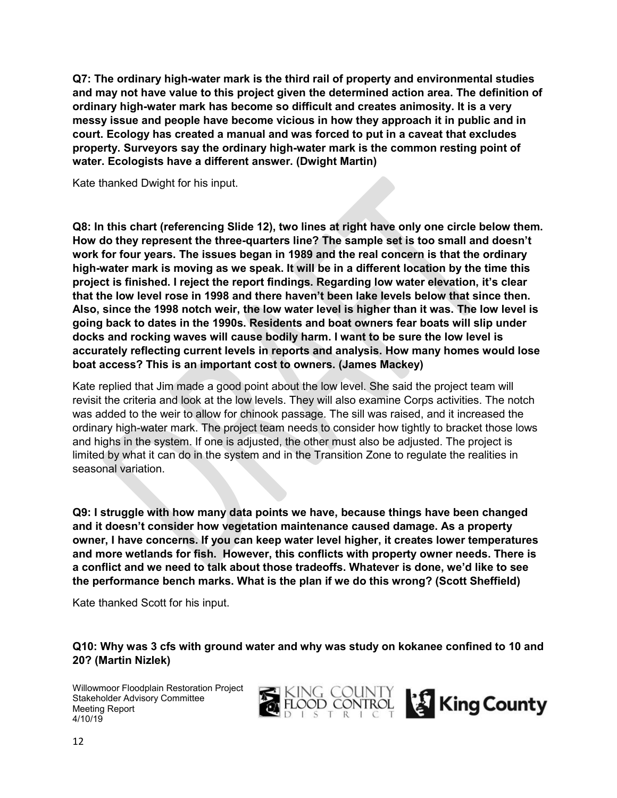**Q7: The ordinary high-water mark is the third rail of property and environmental studies and may not have value to this project given the determined action area. The definition of ordinary high-water mark has become so difficult and creates animosity. It is a very messy issue and people have become vicious in how they approach it in public and in court. Ecology has created a manual and was forced to put in a caveat that excludes property. Surveyors say the ordinary high-water mark is the common resting point of water. Ecologists have a different answer. (Dwight Martin)**

Kate thanked Dwight for his input.

**Q8: In this chart (referencing Slide 12), two lines at right have only one circle below them. How do they represent the three-quarters line? The sample set is too small and doesn't work for four years. The issues began in 1989 and the real concern is that the ordinary high-water mark is moving as we speak. It will be in a different location by the time this project is finished. I reject the report findings. Regarding low water elevation, it's clear that the low level rose in 1998 and there haven't been lake levels below that since then. Also, since the 1998 notch weir, the low water level is higher than it was. The low level is going back to dates in the 1990s. Residents and boat owners fear boats will slip under docks and rocking waves will cause bodily harm. I want to be sure the low level is accurately reflecting current levels in reports and analysis. How many homes would lose boat access? This is an important cost to owners. (James Mackey)**

Kate replied that Jim made a good point about the low level. She said the project team will revisit the criteria and look at the low levels. They will also examine Corps activities. The notch was added to the weir to allow for chinook passage. The sill was raised, and it increased the ordinary high-water mark. The project team needs to consider how tightly to bracket those lows and highs in the system. If one is adjusted, the other must also be adjusted. The project is limited by what it can do in the system and in the Transition Zone to regulate the realities in seasonal variation.

**Q9: I struggle with how many data points we have, because things have been changed and it doesn't consider how vegetation maintenance caused damage. As a property owner, I have concerns. If you can keep water level higher, it creates lower temperatures and more wetlands for fish. However, this conflicts with property owner needs. There is a conflict and we need to talk about those tradeoffs. Whatever is done, we'd like to see the performance bench marks. What is the plan if we do this wrong? (Scott Sheffield)**

Kate thanked Scott for his input.

**Q10: Why was 3 cfs with ground water and why was study on kokanee confined to 10 and 20? (Martin Nizlek)**

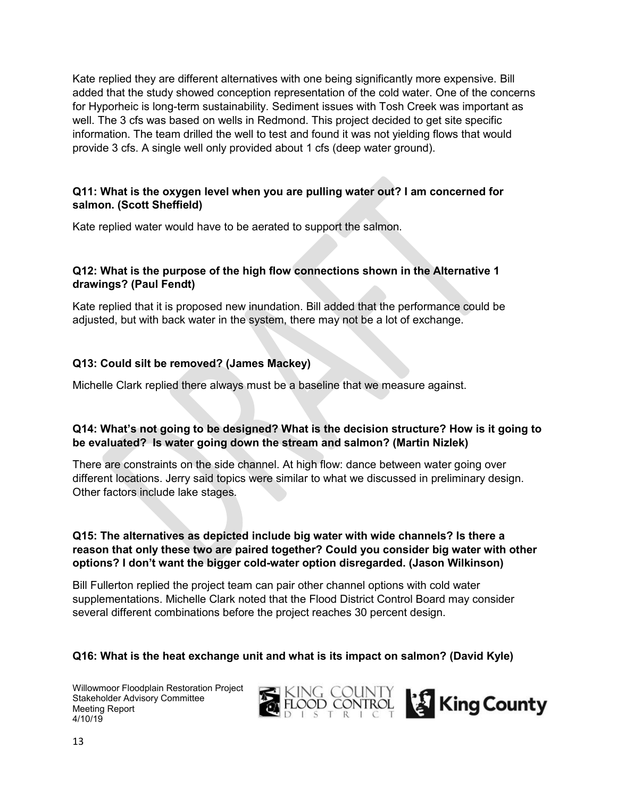Kate replied they are different alternatives with one being significantly more expensive. Bill added that the study showed conception representation of the cold water. One of the concerns for Hyporheic is long-term sustainability. Sediment issues with Tosh Creek was important as well. The 3 cfs was based on wells in Redmond. This project decided to get site specific information. The team drilled the well to test and found it was not yielding flows that would provide 3 cfs. A single well only provided about 1 cfs (deep water ground).

### **Q11: What is the oxygen level when you are pulling water out? I am concerned for salmon. (Scott Sheffield)**

Kate replied water would have to be aerated to support the salmon.

## **Q12: What is the purpose of the high flow connections shown in the Alternative 1 drawings? (Paul Fendt)**

Kate replied that it is proposed new inundation. Bill added that the performance could be adjusted, but with back water in the system, there may not be a lot of exchange.

## **Q13: Could silt be removed? (James Mackey)**

Michelle Clark replied there always must be a baseline that we measure against.

### **Q14: What's not going to be designed? What is the decision structure? How is it going to be evaluated? Is water going down the stream and salmon? (Martin Nizlek)**

There are constraints on the side channel. At high flow: dance between water going over different locations. Jerry said topics were similar to what we discussed in preliminary design. Other factors include lake stages.

### **Q15: The alternatives as depicted include big water with wide channels? Is there a reason that only these two are paired together? Could you consider big water with other options? I don't want the bigger cold-water option disregarded. (Jason Wilkinson)**

Bill Fullerton replied the project team can pair other channel options with cold water supplementations. Michelle Clark noted that the Flood District Control Board may consider several different combinations before the project reaches 30 percent design.

## **Q16: What is the heat exchange unit and what is its impact on salmon? (David Kyle)**

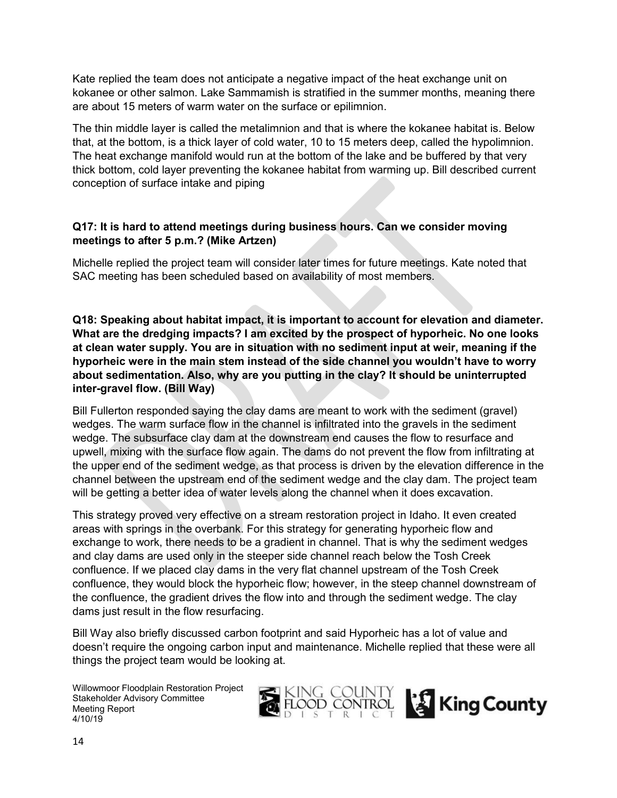Kate replied the team does not anticipate a negative impact of the heat exchange unit on kokanee or other salmon. Lake Sammamish is stratified in the summer months, meaning there are about 15 meters of warm water on the surface or epilimnion.

The thin middle layer is called the metalimnion and that is where the kokanee habitat is. Below that, at the bottom, is a thick layer of cold water, 10 to 15 meters deep, called the hypolimnion. The heat exchange manifold would run at the bottom of the lake and be buffered by that very thick bottom, cold layer preventing the kokanee habitat from warming up. Bill described current conception of surface intake and piping

## **Q17: It is hard to attend meetings during business hours. Can we consider moving meetings to after 5 p.m.? (Mike Artzen)**

Michelle replied the project team will consider later times for future meetings. Kate noted that SAC meeting has been scheduled based on availability of most members.

**Q18: Speaking about habitat impact, it is important to account for elevation and diameter. What are the dredging impacts? I am excited by the prospect of hyporheic. No one looks at clean water supply. You are in situation with no sediment input at weir, meaning if the hyporheic were in the main stem instead of the side channel you wouldn't have to worry about sedimentation. Also, why are you putting in the clay? It should be uninterrupted inter-gravel flow. (Bill Way)**

Bill Fullerton responded saying the clay dams are meant to work with the sediment (gravel) wedges. The warm surface flow in the channel is infiltrated into the gravels in the sediment wedge. The subsurface clay dam at the downstream end causes the flow to resurface and upwell, mixing with the surface flow again. The dams do not prevent the flow from infiltrating at the upper end of the sediment wedge, as that process is driven by the elevation difference in the channel between the upstream end of the sediment wedge and the clay dam. The project team will be getting a better idea of water levels along the channel when it does excavation.

This strategy proved very effective on a stream restoration project in Idaho. It even created areas with springs in the overbank. For this strategy for generating hyporheic flow and exchange to work, there needs to be a gradient in channel. That is why the sediment wedges and clay dams are used only in the steeper side channel reach below the Tosh Creek confluence. If we placed clay dams in the very flat channel upstream of the Tosh Creek confluence, they would block the hyporheic flow; however, in the steep channel downstream of the confluence, the gradient drives the flow into and through the sediment wedge. The clay dams just result in the flow resurfacing.

Bill Way also briefly discussed carbon footprint and said Hyporheic has a lot of value and doesn't require the ongoing carbon input and maintenance. Michelle replied that these were all things the project team would be looking at.

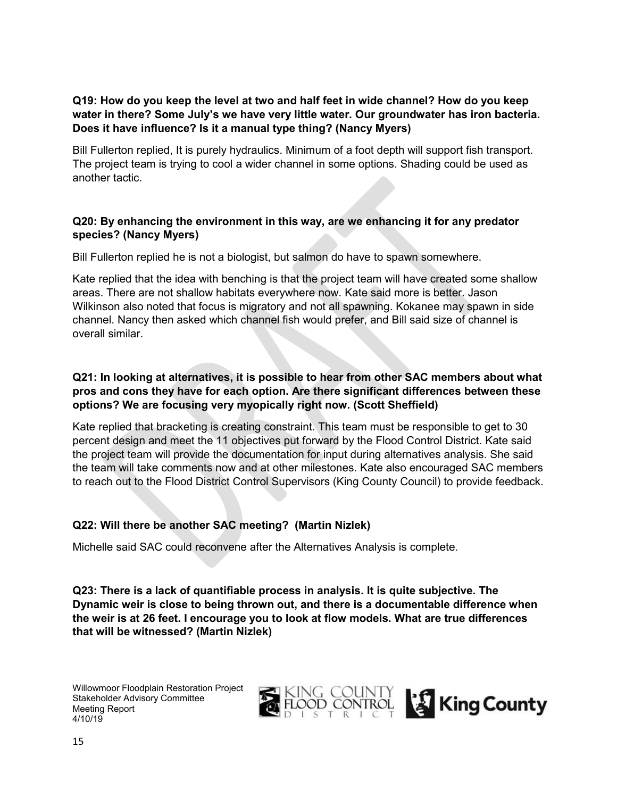## **Q19: How do you keep the level at two and half feet in wide channel? How do you keep water in there? Some July's we have very little water. Our groundwater has iron bacteria. Does it have influence? Is it a manual type thing? (Nancy Myers)**

Bill Fullerton replied, It is purely hydraulics. Minimum of a foot depth will support fish transport. The project team is trying to cool a wider channel in some options. Shading could be used as another tactic.

## **Q20: By enhancing the environment in this way, are we enhancing it for any predator species? (Nancy Myers)**

Bill Fullerton replied he is not a biologist, but salmon do have to spawn somewhere.

Kate replied that the idea with benching is that the project team will have created some shallow areas. There are not shallow habitats everywhere now. Kate said more is better. Jason Wilkinson also noted that focus is migratory and not all spawning. Kokanee may spawn in side channel. Nancy then asked which channel fish would prefer, and Bill said size of channel is overall similar.

## **Q21: In looking at alternatives, it is possible to hear from other SAC members about what pros and cons they have for each option. Are there significant differences between these options? We are focusing very myopically right now. (Scott Sheffield)**

Kate replied that bracketing is creating constraint. This team must be responsible to get to 30 percent design and meet the 11 objectives put forward by the Flood Control District. Kate said the project team will provide the documentation for input during alternatives analysis. She said the team will take comments now and at other milestones. Kate also encouraged SAC members to reach out to the Flood District Control Supervisors (King County Council) to provide feedback.

## **Q22: Will there be another SAC meeting? (Martin Nizlek)**

Michelle said SAC could reconvene after the Alternatives Analysis is complete.

**Q23: There is a lack of quantifiable process in analysis. It is quite subjective. The Dynamic weir is close to being thrown out, and there is a documentable difference when the weir is at 26 feet. I encourage you to look at flow models. What are true differences that will be witnessed? (Martin Nizlek)**

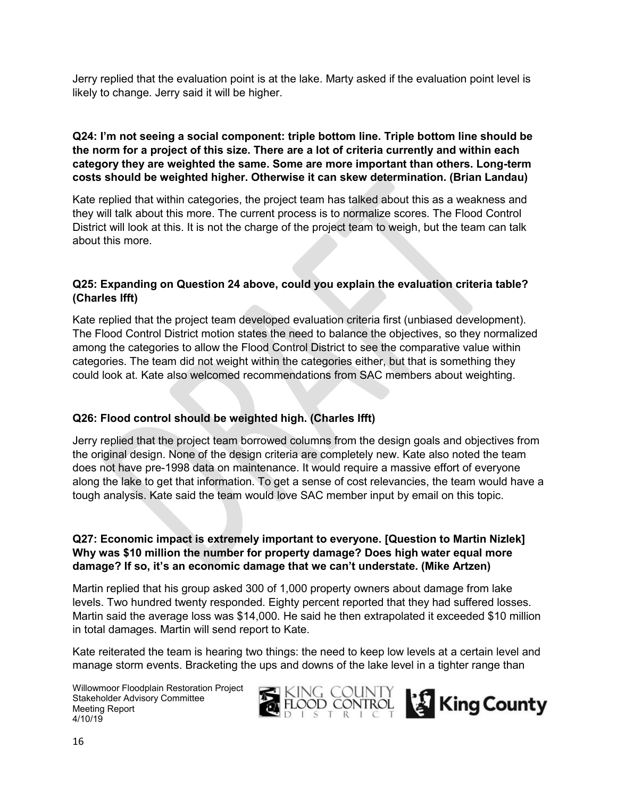Jerry replied that the evaluation point is at the lake. Marty asked if the evaluation point level is likely to change. Jerry said it will be higher.

### **Q24: I'm not seeing a social component: triple bottom line. Triple bottom line should be the norm for a project of this size. There are a lot of criteria currently and within each category they are weighted the same. Some are more important than others. Long-term costs should be weighted higher. Otherwise it can skew determination. (Brian Landau)**

Kate replied that within categories, the project team has talked about this as a weakness and they will talk about this more. The current process is to normalize scores. The Flood Control District will look at this. It is not the charge of the project team to weigh, but the team can talk about this more.

### **Q25: Expanding on Question 24 above, could you explain the evaluation criteria table? (Charles Ifft)**

Kate replied that the project team developed evaluation criteria first (unbiased development). The Flood Control District motion states the need to balance the objectives, so they normalized among the categories to allow the Flood Control District to see the comparative value within categories. The team did not weight within the categories either, but that is something they could look at. Kate also welcomed recommendations from SAC members about weighting.

## **Q26: Flood control should be weighted high. (Charles Ifft)**

Jerry replied that the project team borrowed columns from the design goals and objectives from the original design. None of the design criteria are completely new. Kate also noted the team does not have pre-1998 data on maintenance. It would require a massive effort of everyone along the lake to get that information. To get a sense of cost relevancies, the team would have a tough analysis. Kate said the team would love SAC member input by email on this topic.

### **Q27: Economic impact is extremely important to everyone. [Question to Martin Nizlek] Why was \$10 million the number for property damage? Does high water equal more damage? If so, it's an economic damage that we can't understate. (Mike Artzen)**

Martin replied that his group asked 300 of 1,000 property owners about damage from lake levels. Two hundred twenty responded. Eighty percent reported that they had suffered losses. Martin said the average loss was \$14,000. He said he then extrapolated it exceeded \$10 million in total damages. Martin will send report to Kate.

Kate reiterated the team is hearing two things: the need to keep low levels at a certain level and manage storm events. Bracketing the ups and downs of the lake level in a tighter range than



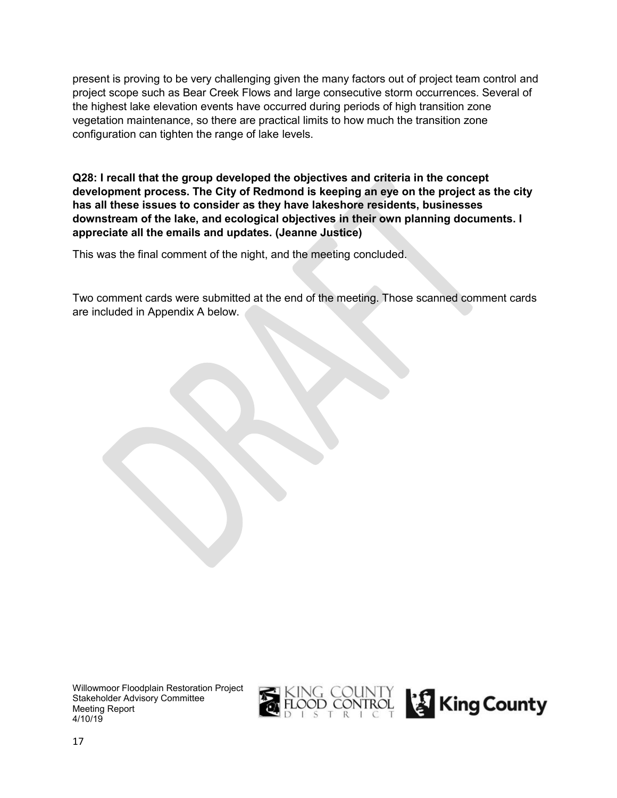present is proving to be very challenging given the many factors out of project team control and project scope such as Bear Creek Flows and large consecutive storm occurrences. Several of the highest lake elevation events have occurred during periods of high transition zone vegetation maintenance, so there are practical limits to how much the transition zone configuration can tighten the range of lake levels.

**Q28: I recall that the group developed the objectives and criteria in the concept development process. The City of Redmond is keeping an eye on the project as the city has all these issues to consider as they have lakeshore residents, businesses downstream of the lake, and ecological objectives in their own planning documents. I appreciate all the emails and updates. (Jeanne Justice)** 

This was the final comment of the night, and the meeting concluded.

Two comment cards were submitted at the end of the meeting. Those scanned comment cards are included in Appendix A below.

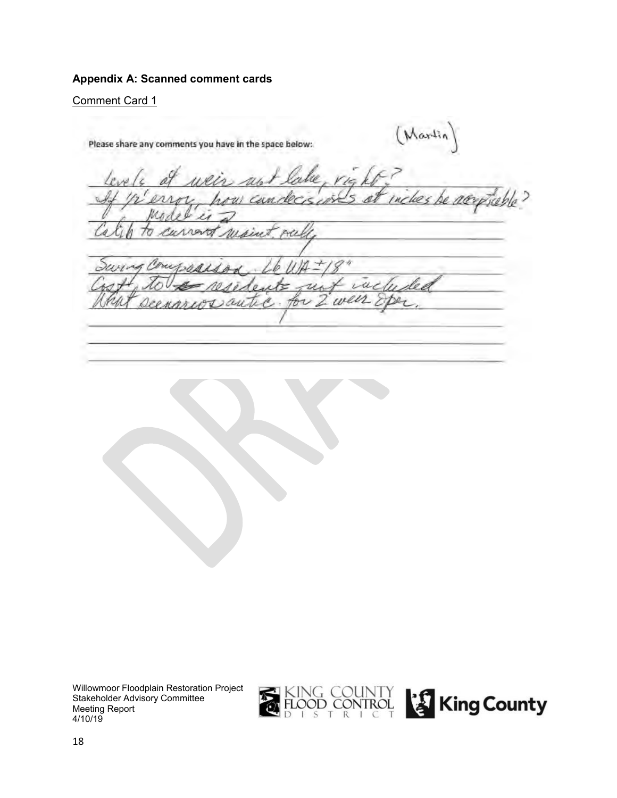### **Appendix A: Scanned comment cards**

Comment Card 1

(Martin) Please share any comments you have in the space below: le su ho c scobla v ń u